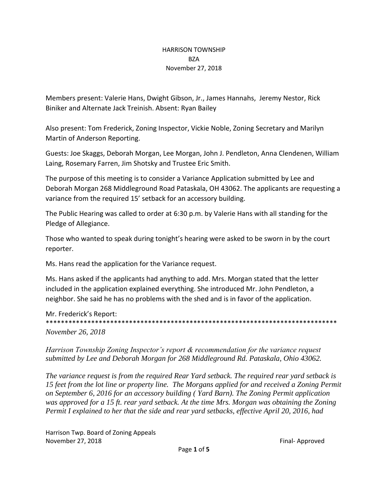#### HARRISON TOWNSHIP BZA November 27, 2018

Members present: Valerie Hans, Dwight Gibson, Jr., James Hannahs, Jeremy Nestor, Rick Biniker and Alternate Jack Treinish. Absent: Ryan Bailey

Also present: Tom Frederick, Zoning Inspector, Vickie Noble, Zoning Secretary and Marilyn Martin of Anderson Reporting.

Guests: Joe Skaggs, Deborah Morgan, Lee Morgan, John J. Pendleton, Anna Clendenen, William Laing, Rosemary Farren, Jim Shotsky and Trustee Eric Smith.

The purpose of this meeting is to consider a Variance Application submitted by Lee and Deborah Morgan 268 Middleground Road Pataskala, OH 43062. The applicants are requesting a variance from the required 15' setback for an accessory building.

The Public Hearing was called to order at 6:30 p.m. by Valerie Hans with all standing for the Pledge of Allegiance.

Those who wanted to speak during tonight's hearing were asked to be sworn in by the court reporter.

Ms. Hans read the application for the Variance request.

Ms. Hans asked if the applicants had anything to add. Mrs. Morgan stated that the letter included in the application explained everything. She introduced Mr. John Pendleton, a neighbor. She said he has no problems with the shed and is in favor of the application.

Mr. Frederick's Report: \*\*\*\*\*\*\*\*\*\*\*\*\*\*\*\*\*\*\*\*\*\*\*\*\*\*\*\*\*\*\*\*\*\*\*\*\*\*\*\*\*\*\*\*\*\*\*\*\*\*\*\*\*\*\*\*\*\*\*\*\*\*\*\*\*\*\*\*\*\*\*\*\*\*\*\*\* *November 26, 2018*

*Harrison Township Zoning Inspector's report & recommendation for the variance request submitted by Lee and Deborah Morgan for 268 Middleground Rd. Pataskala, Ohio 43062.* 

*The variance request is from the required Rear Yard setback. The required rear yard setback is 15 feet from the lot line or property line. The Morgans applied for and received a Zoning Permit on September 6, 2016 for an accessory building ( Yard Barn). The Zoning Permit application*  was approved for a 15 ft. rear yard setback. At the time Mrs. Morgan was obtaining the Zoning *Permit I explained to her that the side and rear yard setbacks, effective April 20, 2016, had*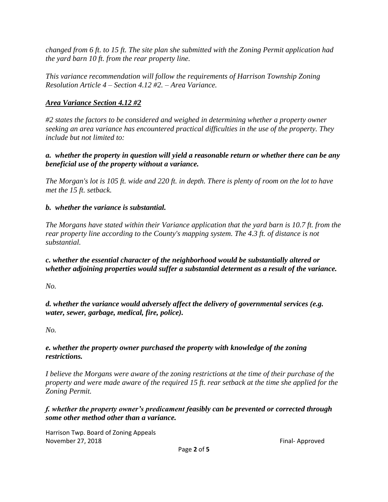*changed from 6 ft. to 15 ft. The site plan she submitted with the Zoning Permit application had the yard barn 10 ft. from the rear property line.*

*This variance recommendation will follow the requirements of Harrison Township Zoning Resolution Article 4 – Section 4.12 #2. – Area Variance.* 

## *Area Variance Section 4.12 #2*

*#2 states the factors to be considered and weighed in determining whether a property owner seeking an area variance has encountered practical difficulties in the use of the property. They include but not limited to:*

### *a. whether the property in question will yield a reasonable return or whether there can be any beneficial use of the property without a variance.*

*The Morgan's lot is 105 ft. wide and 220 ft. in depth. There is plenty of room on the lot to have met the 15 ft. setback.* 

## *b. whether the variance is substantial.*

*The Morgans have stated within their Variance application that the yard barn is 10.7 ft. from the rear property line according to the County's mapping system. The 4.3 ft. of distance is not substantial.* 

*c. whether the essential character of the neighborhood would be substantially altered or whether adjoining properties would suffer a substantial determent as a result of the variance.* 

*No.* 

*d. whether the variance would adversely affect the delivery of governmental services (e.g. water, sewer, garbage, medical, fire, police).*

*No.*

## *e. whether the property owner purchased the property with knowledge of the zoning restrictions.*

*I believe the Morgans were aware of the zoning restrictions at the time of their purchase of the property and were made aware of the required 15 ft. rear setback at the time she applied for the Zoning Permit.* 

*f. whether the property owner's predicament feasibly can be prevented or corrected through some other method other than a variance.*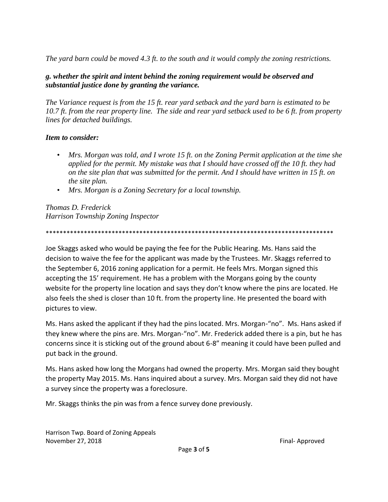*The yard barn could be moved 4.3 ft. to the south and it would comply the zoning restrictions.* 

### *g. whether the spirit and intent behind the zoning requirement would be observed and substantial justice done by granting the variance.*

*The Variance request is from the 15 ft. rear yard setback and the yard barn is estimated to be 10.7 ft. from the rear property line. The side and rear yard setback used to be 6 ft. from property lines for detached buildings.* 

### *Item to consider:*

- *Mrs. Morgan was told, and I wrote 15 ft. on the Zoning Permit application at the time she applied for the permit. My mistake was that I should have crossed off the 10 ft. they had on the site plan that was submitted for the permit. And I should have written in 15 ft. on the site plan.*
- *Mrs. Morgan is a Zoning Secretary for a local township.*

*Thomas D. Frederick Harrison Township Zoning Inspector*

\*\*\*\*\*\*\*\*\*\*\*\*\*\*\*\*\*\*\*\*\*\*\*\*\*\*\*\*\*\*\*\*\*\*\*\*\*\*\*\*\*\*\*\*\*\*\*\*\*\*\*\*\*\*\*\*\*\*\*\*\*\*\*\*\*\*\*\*\*\*\*\*\*\*\*\*\*\*\*\*\*\*\*

Joe Skaggs asked who would be paying the fee for the Public Hearing. Ms. Hans said the decision to waive the fee for the applicant was made by the Trustees. Mr. Skaggs referred to the September 6, 2016 zoning application for a permit. He feels Mrs. Morgan signed this accepting the 15' requirement. He has a problem with the Morgans going by the county website for the property line location and says they don't know where the pins are located. He also feels the shed is closer than 10 ft. from the property line. He presented the board with pictures to view.

Ms. Hans asked the applicant if they had the pins located. Mrs. Morgan-"no". Ms. Hans asked if they knew where the pins are. Mrs. Morgan-"no". Mr. Frederick added there is a pin, but he has concerns since it is sticking out of the ground about 6-8" meaning it could have been pulled and put back in the ground.

Ms. Hans asked how long the Morgans had owned the property. Mrs. Morgan said they bought the property May 2015. Ms. Hans inquired about a survey. Mrs. Morgan said they did not have a survey since the property was a foreclosure.

Mr. Skaggs thinks the pin was from a fence survey done previously.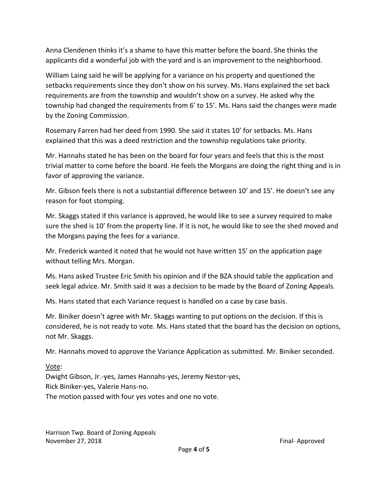Anna Clendenen thinks it's a shame to have this matter before the board. She thinks the applicants did a wonderful job with the yard and is an improvement to the neighborhood.

William Laing said he will be applying for a variance on his property and questioned the setbacks requirements since they don't show on his survey. Ms. Hans explained the set back requirements are from the township and wouldn't show on a survey. He asked why the township had changed the requirements from 6' to 15'. Ms. Hans said the changes were made by the Zoning Commission.

Rosemary Farren had her deed from 1990. She said it states 10' for setbacks. Ms. Hans explained that this was a deed restriction and the township regulations take priority.

Mr. Hannahs stated he has been on the board for four years and feels that this is the most trivial matter to come before the board. He feels the Morgans are doing the right thing and is in favor of approving the variance.

Mr. Gibson feels there is not a substantial difference between 10' and 15'. He doesn't see any reason for foot stomping.

Mr. Skaggs stated if this variance is approved, he would like to see a survey required to make sure the shed is 10' from the property line. If it is not, he would like to see the shed moved and the Morgans paying the fees for a variance.

Mr. Frederick wanted it noted that he would not have written 15' on the application page without telling Mrs. Morgan.

Ms. Hans asked Trustee Eric Smith his opinion and if the BZA should table the application and seek legal advice. Mr. Smith said it was a decision to be made by the Board of Zoning Appeals.

Ms. Hans stated that each Variance request is handled on a case by case basis.

Mr. Biniker doesn't agree with Mr. Skaggs wanting to put options on the decision. If this is considered, he is not ready to vote. Ms. Hans stated that the board has the decision on options, not Mr. Skaggs.

Mr. Hannahs moved to approve the Variance Application as submitted. Mr. Biniker seconded.

# Vote:

Dwight Gibson, Jr.-yes, James Hannahs-yes, Jeremy Nestor-yes, Rick Biniker-yes, Valerie Hans-no. The motion passed with four yes votes and one no vote.